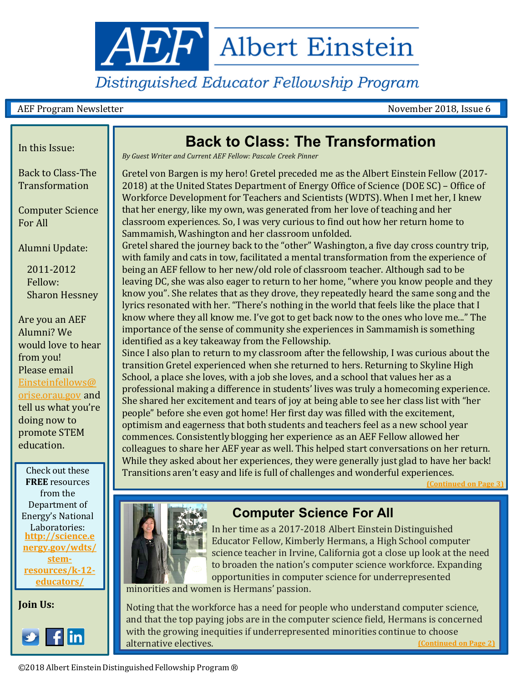

# Distinguished Educator Fellowship Program

#### AEF Program Newsletter November 2018, Issue 6

Back to Class-The Transformation

Computer Science For All

Alumni Update:

2011-2012 Fellow: Sharon Hessney

Are you an AEF Alumni? We would love to hear from you! Please email [Einsteinfellows@](mailto:Einsteinfellows@orise.orau.gov) orise.orau.gov and tell us what you're doing now to promote STEM education.

Check out these **FREE** resources from the Department of Energy's National Laboratories: **http://science.e [nergy.gov/wdts/](http://science.energy.gov/wdts/stem-resources/k-12-educators/) stemresources/k-12 educators/**

**Join Us:**



# In this Issue: **I.e. In this Issue: Back to Class: The Transformation**

*By Guest Writer and Current AEF Fellow: Pascale Creek Pinner*

Gretel von Bargen is my hero! Gretel preceded me as the Albert Einstein Fellow (2017- 2018) at the United States Department of Energy Office of Science (DOE SC) – Office of Workforce Development for Teachers and Scientists (WDTS). When I met her, I knew that her energy, like my own, was generated from her love of teaching and her classroom experiences. So, I was very curious to find out how her return home to Sammamish, Washington and her classroom unfolded.

Gretel shared the journey back to the "other" Washington, a five day cross country trip, with family and cats in tow, facilitated a mental transformation from the experience of being an AEF fellow to her new/old role of classroom teacher. Although sad to be leaving DC, she was also eager to return to her home, "where you know people and they know you". She relates that as they drove, they repeatedly heard the same song and the lyrics resonated with her. "There's nothing in the world that feels like the place that I know where they all know me. I've got to get back now to the ones who love me..." The importance of the sense of community she experiences in Sammamish is something identified as a key takeaway from the Fellowship.

Since I also plan to return to my classroom after the fellowship, I was curious about the transition Gretel experienced when she returned to hers. Returning to Skyline High School, a place she loves, with a job she loves, and a school that values her as a professional making a difference in students' lives was truly a homecoming experience. She shared her excitement and tears of joy at being able to see her class list with "her people" before she even got home! Her first day was filled with the excitement, optimism and eagerness that both students and teachers feel as a new school year commences. Consistently blogging her experience as an AEF Fellow allowed her colleagues to share her AEF year as well. This helped start conversations on her return. While they asked about her experiences, they were generally just glad to have her back! Transitions aren't easy and life is full of challenges and wonderful experiences.

**(Continued on Page** 



## **Computer Science For All**

science teacher in Irvine, California got a close up look at the need  $\Box$   $\Box$   $\Box$  to broaden the nation's computer science workforce. Expanding  $\Box$  (iii)  $\Box$  , opportunities in computer science for underrepresented In her time as a 2017-2018 Albert Einstein Distinguished Educator Fellow, Kimberly Hermans, a High School computer

learning. During his tenure with the Museum, the Museum, they have developed the Museum of the Museum of the Mu

Noting that the workforce has a need for people who understand computer science, and that the top paying jobs are in the computer science field, Hermans is concerned with the growing inequities if underrepresented minorities continue to choose alternative electives. **[\(Continued on Page 2\)](#page-1-0)**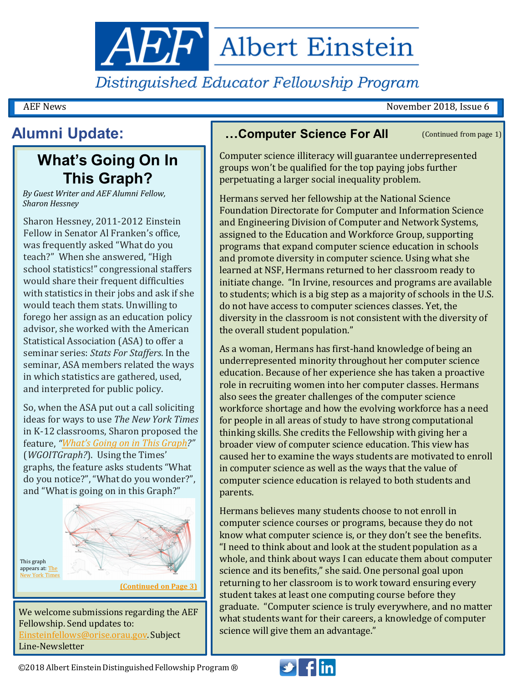<span id="page-1-0"></span>**AEF** Albert Einstein

Distinguished Educator Fellowship Program

AEF News November 2018, Issue 6

# **Alumni Update:**

# **What's Going On In This Graph?**

*By Guest Writer and AEF Alumni Fellow, Sharon Hessney*

Sharon Hessney, 2011-2012 Einstein Fellow in Senator Al Franken's office, was frequently asked "What do you teach?" When she answered, "High school statistics!" congressional staffers would share their frequent difficulties with statistics in their jobs and ask if she would teach them stats. Unwilling to forego her assign as an education policy advisor, she worked with the American Statistical Association (ASA) to offer a seminar series: *Stats For Staffers*. In the seminar, ASA members related the ways in which statistics are gathered, used, and interpreted for public policy.

So, when the ASA put out a call soliciting ideas for ways to use *The New York Times* in K-12 classrooms, Sharon proposed the feature, *["What's Going on in This Graph?](https://www.nytimes.com/column/whats-going-on-in-this-graph?emc=edit_ln_20171109&nl=learning-network&nlid=52022771&te=1)"*  (*WGOITGraph?*). Using the Times' graphs, the feature asks students "What do you notice?", "What do you wonder?", and "What is going on in this Graph?"



We welcome submissions regarding the AEF Fellowship. Send updates to: [Einsteinfellows@orise.orau.gov.](mailto:Einsteinfellows@orise.orau.gov) Subject Line-Newsletter

### **…Computer Science For All**

(Continued from page 1)

Computer science illiteracy will guarantee underrepresented groups won't be qualified for the top paying jobs further perpetuating a larger social inequality problem.

Hermans served her fellowship at the National Science Foundation Directorate for Computer and Information Science and Engineering Division of Computer and Network Systems, assigned to the Education and Workforce Group, supporting programs that expand computer science education in schools and promote diversity in computer science. Using what she learned at NSF, Hermans returned to her classroom ready to initiate change. "In Irvine, resources and programs are available to students; which is a big step as a majority of schools in the U.S. do not have access to computer sciences classes. Yet, the diversity in the classroom is not consistent with the diversity of the overall student population."

As a woman, Hermans has first-hand knowledge of being an underrepresented minority throughout her computer science education. Because of her experience she has taken a proactive role in recruiting women into her computer classes. Hermans also sees the greater challenges of the computer science workforce shortage and how the evolving workforce has a need for people in all areas of study to have strong computational thinking skills. She credits the Fellowship with giving her a broader view of computer science education. This view has caused her to examine the ways students are motivated to enroll in computer science as well as the ways that the value of computer science education is relayed to both students and parents.

Hermans believes many students choose to not enroll in computer science courses or programs, because they do not know what computer science is, or they don't see the benefits. "I need to think about and look at the student population as a whole, and think about ways I can educate them about computer science and its benefits," she said. One personal goal upon returning to her classroom is to work toward ensuring every student takes at least one computing course before they graduate. "Computer science is truly everywhere, and no matter what students want for their careers, a knowledge of computer science will give them an advantage."